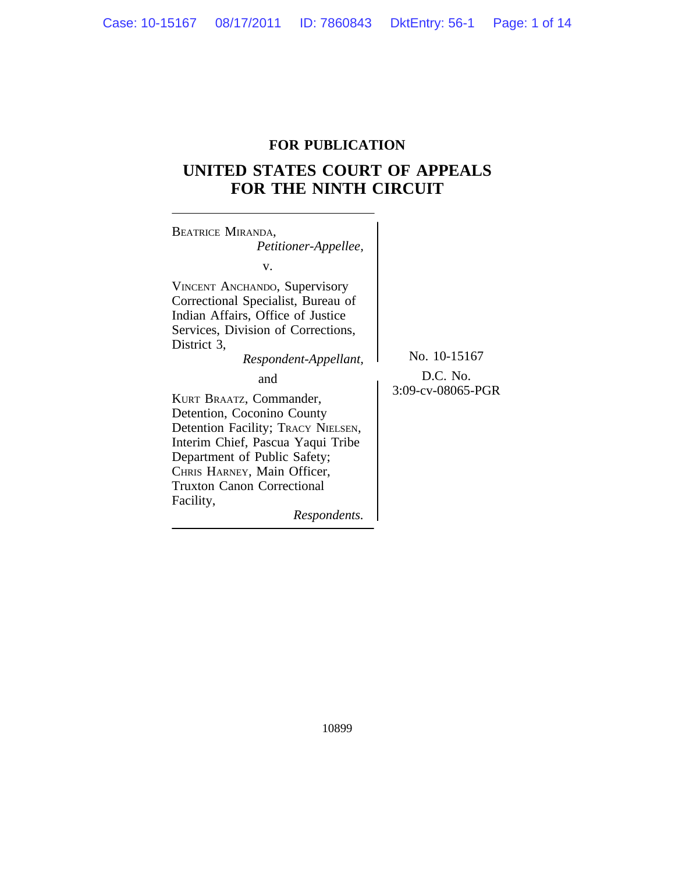# **FOR PUBLICATION**

# **UNITED STATES COURT OF APPEALS FOR THE NINTH CIRCUIT**

 $\overline{\phantom{0}}$ 

| <b>BEATRICE MIRANDA,</b><br>Petitioner-Appellee,                                                                                                                                                                                                                                                                                                                                                                                                                                |                                               |
|---------------------------------------------------------------------------------------------------------------------------------------------------------------------------------------------------------------------------------------------------------------------------------------------------------------------------------------------------------------------------------------------------------------------------------------------------------------------------------|-----------------------------------------------|
| v.<br><b>VINCENT ANCHANDO, Supervisory</b><br>Correctional Specialist, Bureau of<br>Indian Affairs, Office of Justice<br>Services, Division of Corrections,<br>District 3,<br>Respondent-Appellant,<br>and<br>KURT BRAATZ, Commander,<br>Detention, Coconino County<br>Detention Facility; TRACY NIELSEN,<br>Interim Chief, Pascua Yaqui Tribe<br>Department of Public Safety;<br>CHRIS HARNEY, Main Officer,<br><b>Truxton Canon Correctional</b><br>Facility,<br>Respondents. | No. 10-15167<br>D.C. No.<br>3:09-cv-08065-PGR |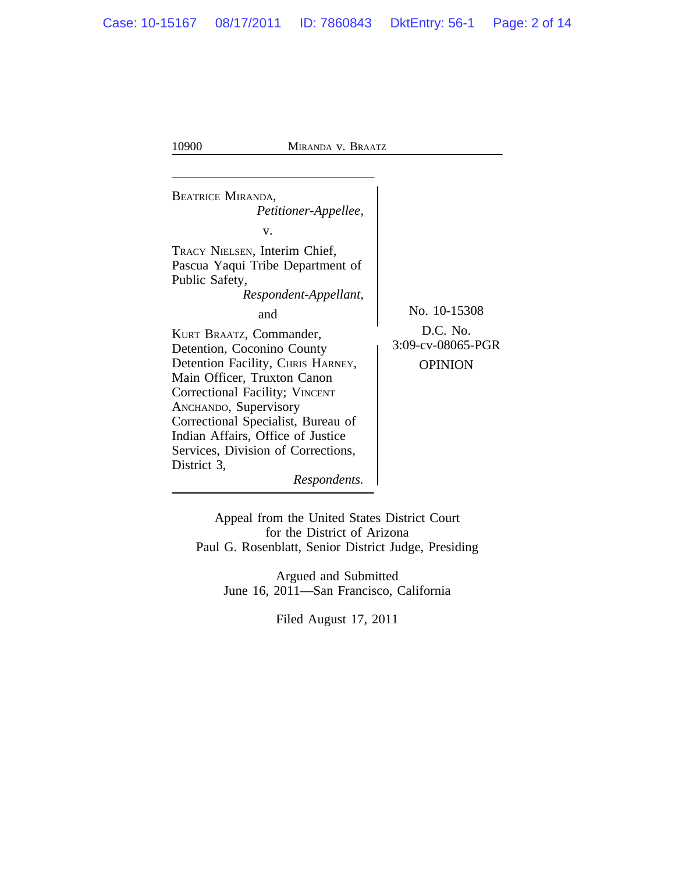<sup>B</sup>EATRICE MIRANDA, *Petitioner-Appellee,* v. TRACY NIELSEN, Interim Chief, Pascua Yaqui Tribe Department of Public Safety, *Respondent-Appellant,* and No. 10-15308 KURT BRAATZ, Commander,<br>Detention Coconino County<br>3:09-cv-08065-PGR Detention, Coconino County Detention Facility, CHRIS HARNEY, OPINION Main Officer, Truxton Canon Correctional Facility; VINCENT ANCHANDO, Supervisory Correctional Specialist, Bureau of Indian Affairs, Office of Justice Services, Division of Corrections, District 3, *Respondents.*

Appeal from the United States District Court for the District of Arizona Paul G. Rosenblatt, Senior District Judge, Presiding

Argued and Submitted June 16, 2011—San Francisco, California

Filed August 17, 2011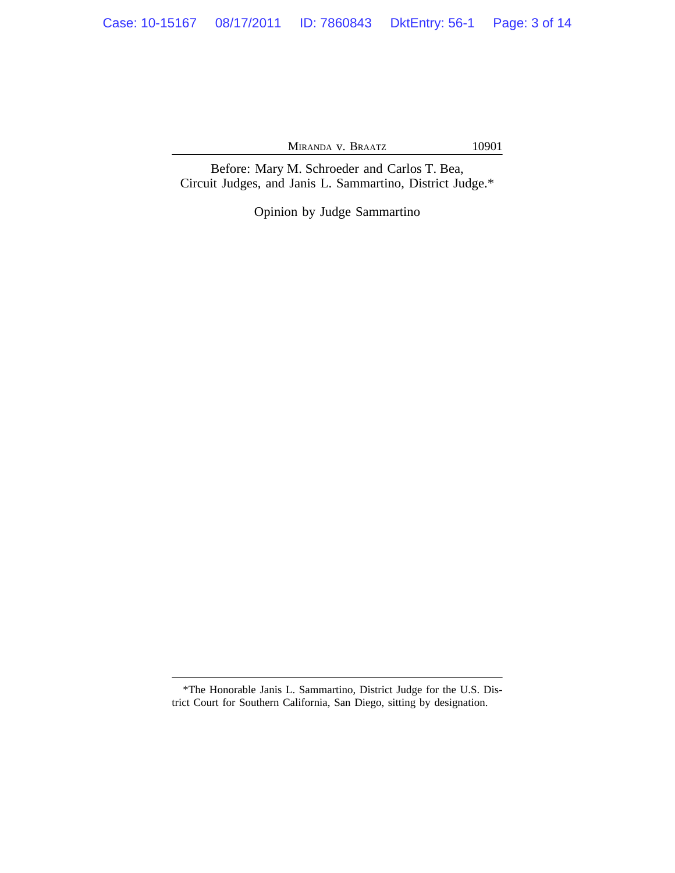Before: Mary M. Schroeder and Carlos T. Bea, Circuit Judges, and Janis L. Sammartino, District Judge.\*

Opinion by Judge Sammartino

<sup>\*</sup>The Honorable Janis L. Sammartino, District Judge for the U.S. District Court for Southern California, San Diego, sitting by designation.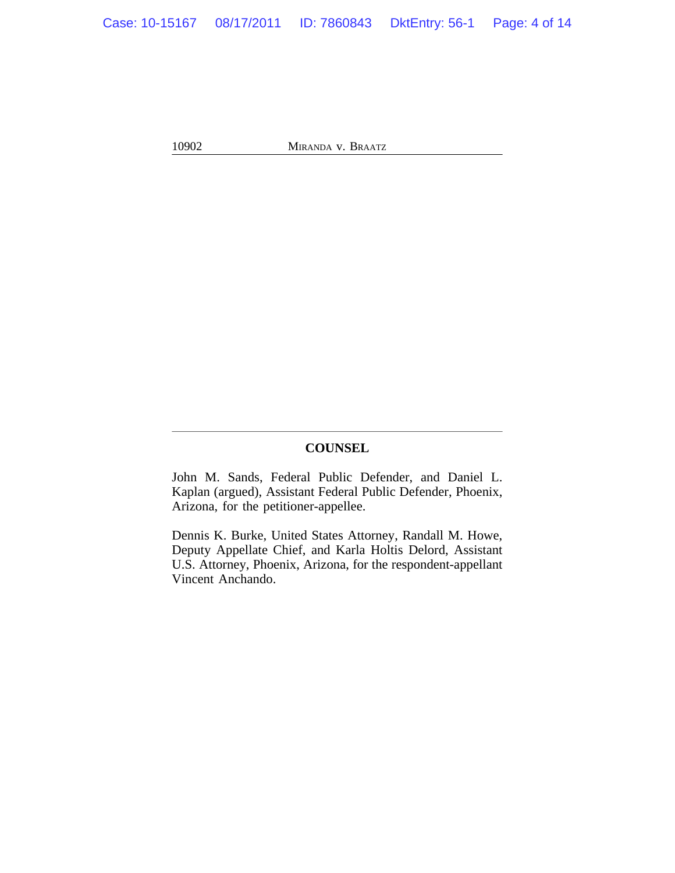## **COUNSEL**

John M. Sands, Federal Public Defender, and Daniel L. Kaplan (argued), Assistant Federal Public Defender, Phoenix, Arizona, for the petitioner-appellee.

Dennis K. Burke, United States Attorney, Randall M. Howe, Deputy Appellate Chief, and Karla Holtis Delord, Assistant U.S. Attorney, Phoenix, Arizona, for the respondent-appellant Vincent Anchando.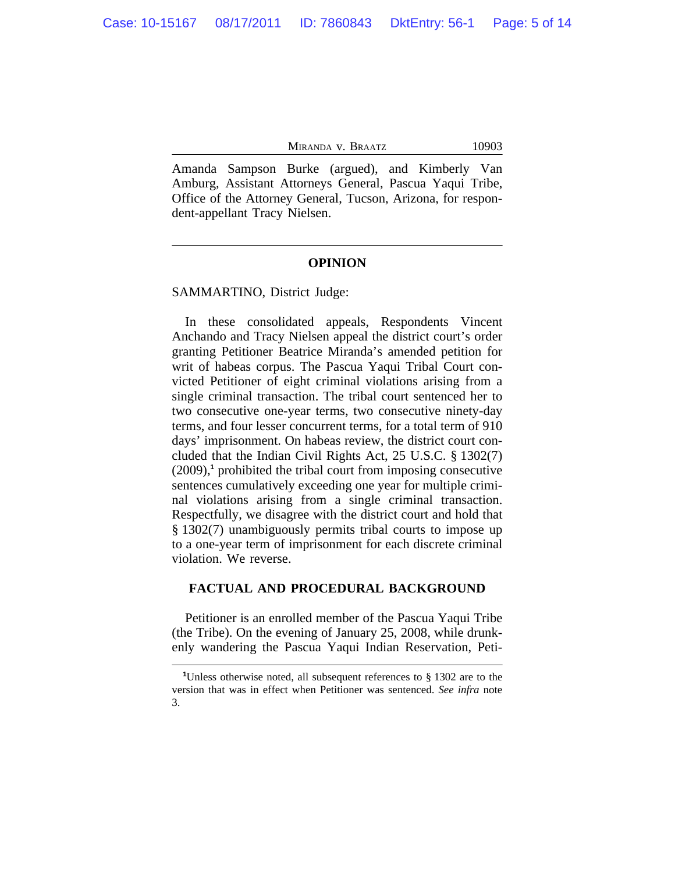Amanda Sampson Burke (argued), and Kimberly Van Amburg, Assistant Attorneys General, Pascua Yaqui Tribe, Office of the Attorney General, Tucson, Arizona, for respondent-appellant Tracy Nielsen.

### **OPINION**

### SAMMARTINO, District Judge:

In these consolidated appeals, Respondents Vincent Anchando and Tracy Nielsen appeal the district court's order granting Petitioner Beatrice Miranda's amended petition for writ of habeas corpus. The Pascua Yaqui Tribal Court convicted Petitioner of eight criminal violations arising from a single criminal transaction. The tribal court sentenced her to two consecutive one-year terms, two consecutive ninety-day terms, and four lesser concurrent terms, for a total term of 910 days' imprisonment. On habeas review, the district court concluded that the Indian Civil Rights Act, 25 U.S.C. § 1302(7) (2009),**<sup>1</sup>** prohibited the tribal court from imposing consecutive sentences cumulatively exceeding one year for multiple criminal violations arising from a single criminal transaction. Respectfully, we disagree with the district court and hold that § 1302(7) unambiguously permits tribal courts to impose up to a one-year term of imprisonment for each discrete criminal violation. We reverse.

### **FACTUAL AND PROCEDURAL BACKGROUND**

Petitioner is an enrolled member of the Pascua Yaqui Tribe (the Tribe). On the evening of January 25, 2008, while drunkenly wandering the Pascua Yaqui Indian Reservation, Peti-

**<sup>1</sup>**Unless otherwise noted, all subsequent references to § 1302 are to the version that was in effect when Petitioner was sentenced. *See infra* note 3.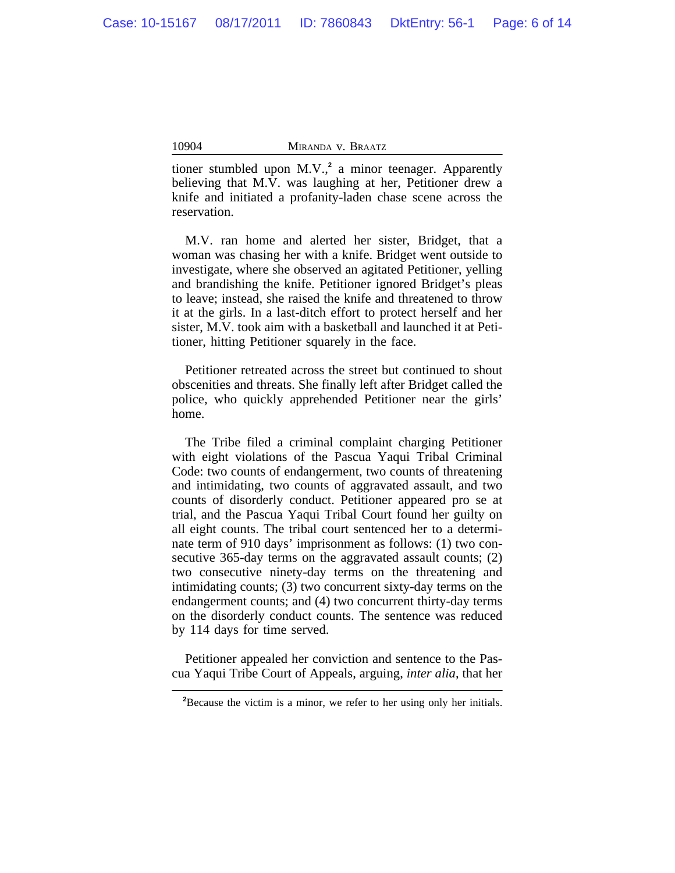tioner stumbled upon M.V.,**<sup>2</sup>** a minor teenager. Apparently believing that M.V. was laughing at her, Petitioner drew a knife and initiated a profanity-laden chase scene across the reservation.

M.V. ran home and alerted her sister, Bridget, that a woman was chasing her with a knife. Bridget went outside to investigate, where she observed an agitated Petitioner, yelling and brandishing the knife. Petitioner ignored Bridget's pleas to leave; instead, she raised the knife and threatened to throw it at the girls. In a last-ditch effort to protect herself and her sister, M.V. took aim with a basketball and launched it at Petitioner, hitting Petitioner squarely in the face.

Petitioner retreated across the street but continued to shout obscenities and threats. She finally left after Bridget called the police, who quickly apprehended Petitioner near the girls' home.

The Tribe filed a criminal complaint charging Petitioner with eight violations of the Pascua Yaqui Tribal Criminal Code: two counts of endangerment, two counts of threatening and intimidating, two counts of aggravated assault, and two counts of disorderly conduct. Petitioner appeared pro se at trial, and the Pascua Yaqui Tribal Court found her guilty on all eight counts. The tribal court sentenced her to a determinate term of 910 days' imprisonment as follows: (1) two consecutive 365-day terms on the aggravated assault counts; (2) two consecutive ninety-day terms on the threatening and intimidating counts; (3) two concurrent sixty-day terms on the endangerment counts; and (4) two concurrent thirty-day terms on the disorderly conduct counts. The sentence was reduced by 114 days for time served.

Petitioner appealed her conviction and sentence to the Pascua Yaqui Tribe Court of Appeals, arguing, *inter alia*, that her

**<sup>2</sup>**Because the victim is a minor, we refer to her using only her initials.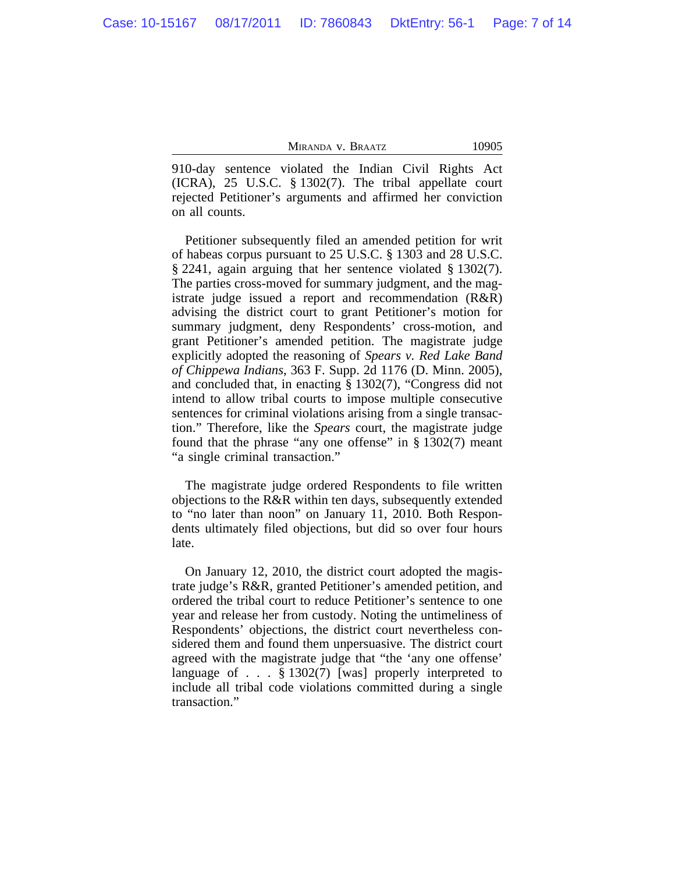910-day sentence violated the Indian Civil Rights Act (ICRA), 25 U.S.C. § 1302(7). The tribal appellate court rejected Petitioner's arguments and affirmed her conviction on all counts.

Petitioner subsequently filed an amended petition for writ of habeas corpus pursuant to 25 U.S.C. § 1303 and 28 U.S.C. § 2241, again arguing that her sentence violated § 1302(7). The parties cross-moved for summary judgment, and the magistrate judge issued a report and recommendation (R&R) advising the district court to grant Petitioner's motion for summary judgment, deny Respondents' cross-motion, and grant Petitioner's amended petition. The magistrate judge explicitly adopted the reasoning of *Spears v. Red Lake Band of Chippewa Indians*, 363 F. Supp. 2d 1176 (D. Minn. 2005), and concluded that, in enacting § 1302(7), "Congress did not intend to allow tribal courts to impose multiple consecutive sentences for criminal violations arising from a single transaction." Therefore, like the *Spears* court, the magistrate judge found that the phrase "any one offense" in  $\S 1302(7)$  meant "a single criminal transaction."

The magistrate judge ordered Respondents to file written objections to the R&R within ten days, subsequently extended to "no later than noon" on January 11, 2010. Both Respondents ultimately filed objections, but did so over four hours late.

On January 12, 2010, the district court adopted the magistrate judge's R&R, granted Petitioner's amended petition, and ordered the tribal court to reduce Petitioner's sentence to one year and release her from custody. Noting the untimeliness of Respondents' objections, the district court nevertheless considered them and found them unpersuasive. The district court agreed with the magistrate judge that "the 'any one offense' language of . . . § 1302(7) [was] properly interpreted to include all tribal code violations committed during a single transaction."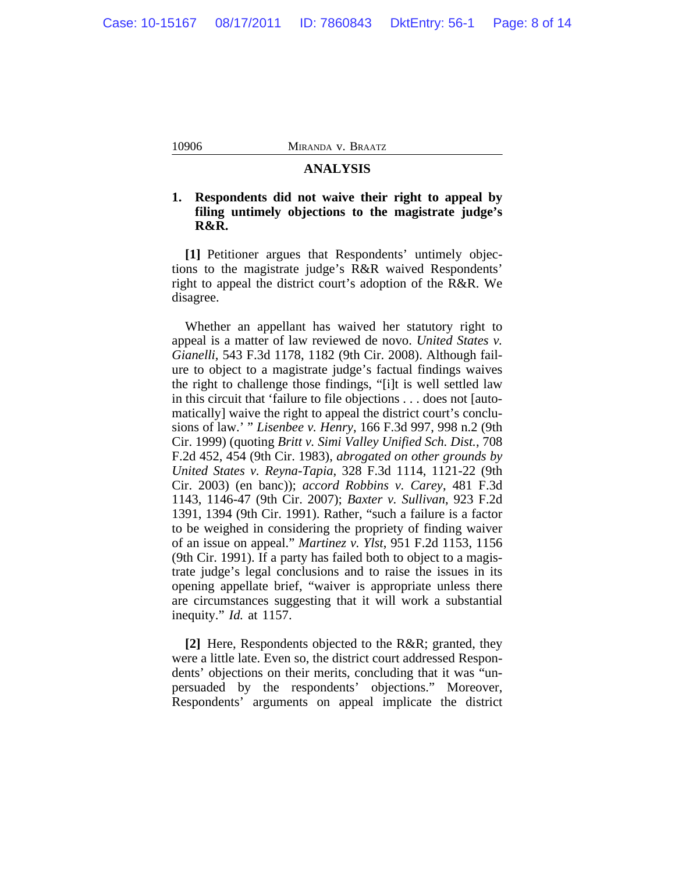### **ANALYSIS**

## **1. Respondents did not waive their right to appeal by filing untimely objections to the magistrate judge's R&R.**

**[1]** Petitioner argues that Respondents' untimely objections to the magistrate judge's R&R waived Respondents' right to appeal the district court's adoption of the R&R. We disagree.

Whether an appellant has waived her statutory right to appeal is a matter of law reviewed de novo. *United States v. Gianelli*, 543 F.3d 1178, 1182 (9th Cir. 2008). Although failure to object to a magistrate judge's factual findings waives the right to challenge those findings, "[i]t is well settled law in this circuit that 'failure to file objections . . . does not [automatically] waive the right to appeal the district court's conclusions of law.' " *Lisenbee v. Henry*, 166 F.3d 997, 998 n.2 (9th Cir. 1999) (quoting *Britt v. Simi Valley Unified Sch. Dist.*, 708 F.2d 452, 454 (9th Cir. 1983), *abrogated on other grounds by United States v. Reyna-Tapia*, 328 F.3d 1114, 1121-22 (9th Cir. 2003) (en banc)); *accord Robbins v. Carey*, 481 F.3d 1143, 1146-47 (9th Cir. 2007); *Baxter v. Sullivan*, 923 F.2d 1391, 1394 (9th Cir. 1991). Rather, "such a failure is a factor to be weighed in considering the propriety of finding waiver of an issue on appeal." *Martinez v. Ylst*, 951 F.2d 1153, 1156 (9th Cir. 1991). If a party has failed both to object to a magistrate judge's legal conclusions and to raise the issues in its opening appellate brief, "waiver is appropriate unless there are circumstances suggesting that it will work a substantial inequity." *Id.* at 1157.

**[2]** Here, Respondents objected to the R&R; granted, they were a little late. Even so, the district court addressed Respondents' objections on their merits, concluding that it was "unpersuaded by the respondents' objections." Moreover, Respondents' arguments on appeal implicate the district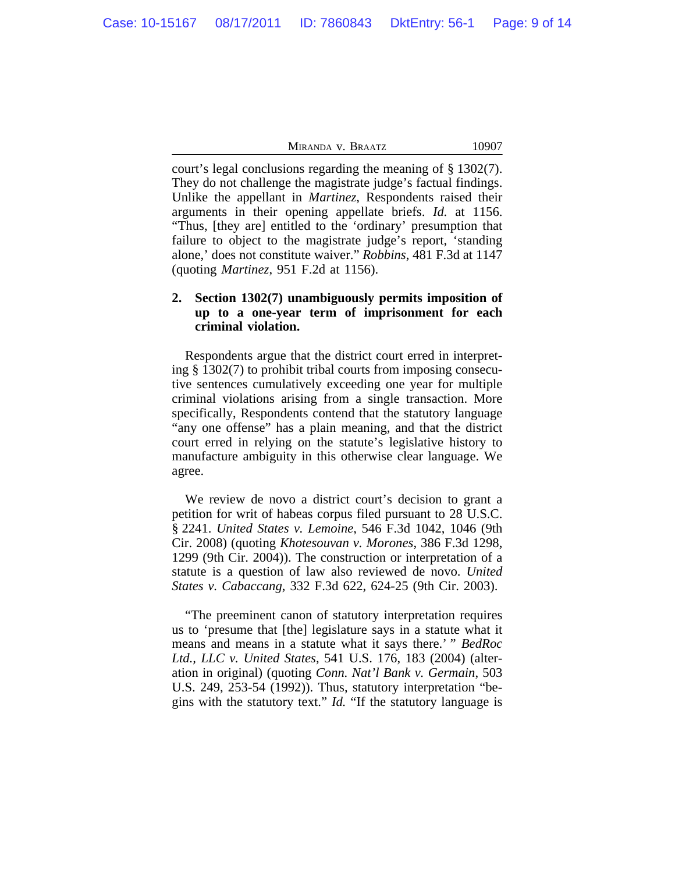court's legal conclusions regarding the meaning of § 1302(7). They do not challenge the magistrate judge's factual findings. Unlike the appellant in *Martinez*, Respondents raised their arguments in their opening appellate briefs. *Id.* at 1156. "Thus, [they are] entitled to the 'ordinary' presumption that failure to object to the magistrate judge's report, 'standing alone,' does not constitute waiver." *Robbins*, 481 F.3d at 1147 (quoting *Martinez*, 951 F.2d at 1156).

# **2. Section 1302(7) unambiguously permits imposition of up to a one-year term of imprisonment for each criminal violation.**

Respondents argue that the district court erred in interpreting § 1302(7) to prohibit tribal courts from imposing consecutive sentences cumulatively exceeding one year for multiple criminal violations arising from a single transaction. More specifically, Respondents contend that the statutory language "any one offense" has a plain meaning, and that the district court erred in relying on the statute's legislative history to manufacture ambiguity in this otherwise clear language. We agree.

We review de novo a district court's decision to grant a petition for writ of habeas corpus filed pursuant to 28 U.S.C. § 2241. *United States v. Lemoine*, 546 F.3d 1042, 1046 (9th Cir. 2008) (quoting *Khotesouvan v. Morones*, 386 F.3d 1298, 1299 (9th Cir. 2004)). The construction or interpretation of a statute is a question of law also reviewed de novo. *United States v. Cabaccang*, 332 F.3d 622, 624-25 (9th Cir. 2003).

"The preeminent canon of statutory interpretation requires us to 'presume that [the] legislature says in a statute what it means and means in a statute what it says there.' " *BedRoc Ltd., LLC v. United States*, 541 U.S. 176, 183 (2004) (alteration in original) (quoting *Conn. Nat'l Bank v. Germain*, 503 U.S. 249, 253-54 (1992)). Thus, statutory interpretation "begins with the statutory text." *Id.* "If the statutory language is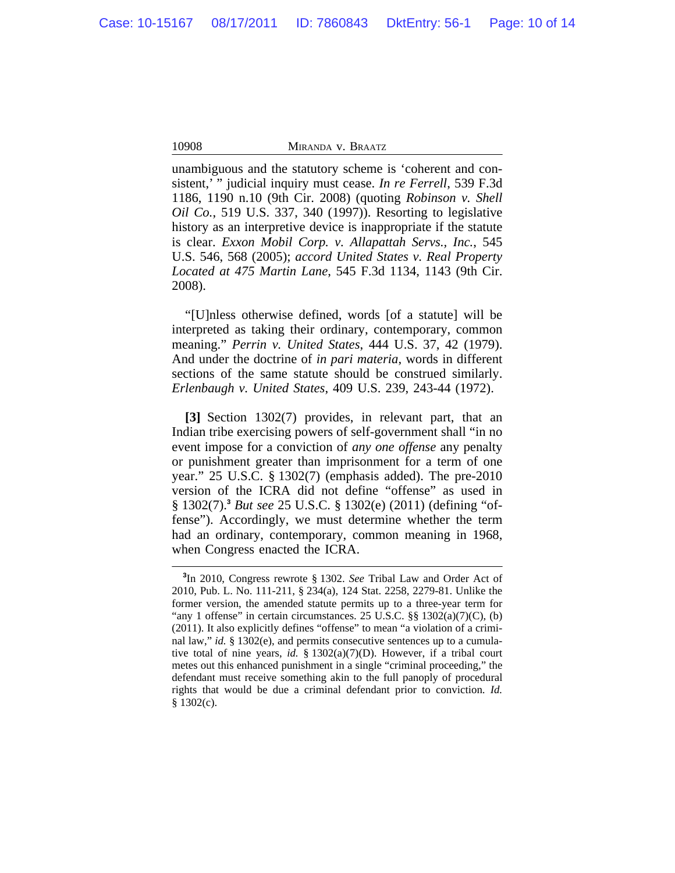unambiguous and the statutory scheme is 'coherent and consistent,' " judicial inquiry must cease. *In re Ferrell*, 539 F.3d 1186, 1190 n.10 (9th Cir. 2008) (quoting *Robinson v. Shell Oil Co.*, 519 U.S. 337, 340 (1997)). Resorting to legislative history as an interpretive device is inappropriate if the statute is clear. *Exxon Mobil Corp. v. Allapattah Servs., Inc.*, 545 U.S. 546, 568 (2005); *accord United States v. Real Property Located at 475 Martin Lane*, 545 F.3d 1134, 1143 (9th Cir. 2008).

"[U]nless otherwise defined, words [of a statute] will be interpreted as taking their ordinary, contemporary, common meaning." *Perrin v. United States*, 444 U.S. 37, 42 (1979). And under the doctrine of *in pari materia*, words in different sections of the same statute should be construed similarly. *Erlenbaugh v. United States*, 409 U.S. 239, 243-44 (1972).

**[3]** Section 1302(7) provides, in relevant part, that an Indian tribe exercising powers of self-government shall "in no event impose for a conviction of *any one offense* any penalty or punishment greater than imprisonment for a term of one year." 25 U.S.C. § 1302(7) (emphasis added). The pre-2010 version of the ICRA did not define "offense" as used in § 1302(7).**<sup>3</sup>** *But see* 25 U.S.C. § 1302(e) (2011) (defining "offense"). Accordingly, we must determine whether the term had an ordinary, contemporary, common meaning in 1968, when Congress enacted the ICRA.

**<sup>3</sup>** In 2010, Congress rewrote § 1302. *See* Tribal Law and Order Act of 2010, Pub. L. No. 111-211, § 234(a), 124 Stat. 2258, 2279-81. Unlike the former version, the amended statute permits up to a three-year term for "any 1 offense" in certain circumstances. 25 U.S.C. §§ 1302(a)(7)(C), (b) (2011). It also explicitly defines "offense" to mean "a violation of a criminal law," *id.* § 1302(e), and permits consecutive sentences up to a cumulative total of nine years, *id.* § 1302(a)(7)(D). However, if a tribal court metes out this enhanced punishment in a single "criminal proceeding," the defendant must receive something akin to the full panoply of procedural rights that would be due a criminal defendant prior to conviction. *Id.* § 1302(c).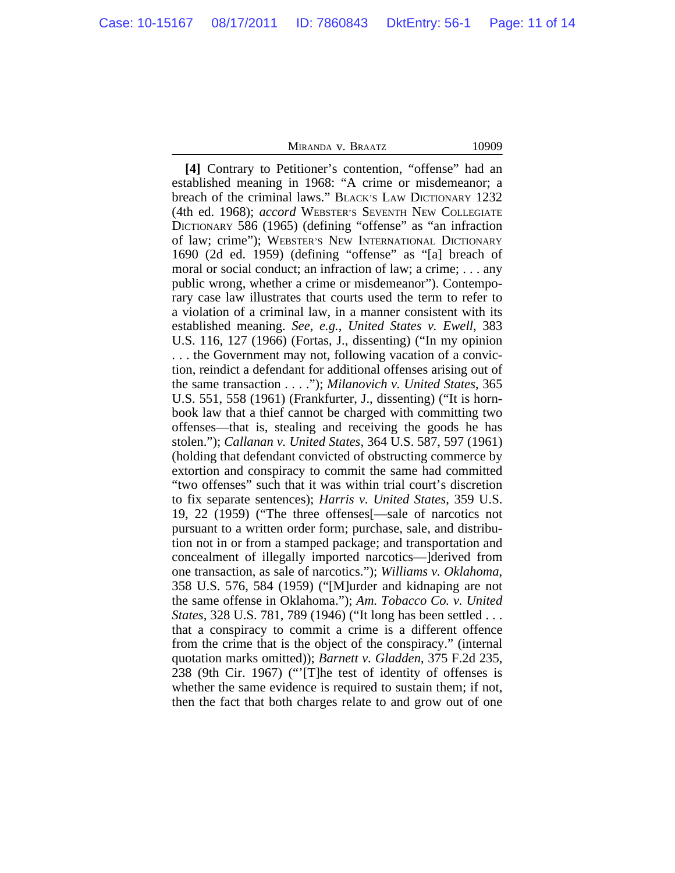**[4]** Contrary to Petitioner's contention, "offense" had an established meaning in 1968: "A crime or misdemeanor; a breach of the criminal laws." BLACK'S LAW DICTIONARY 1232 (4th ed. 1968); *accord* WEBSTER'S SEVENTH NEW COLLEGIATE DICTIONARY 586 (1965) (defining "offense" as "an infraction of law; crime"); WEBSTER'S NEW INTERNATIONAL DICTIONARY 1690 (2d ed. 1959) (defining "offense" as "[a] breach of moral or social conduct; an infraction of law; a crime; . . . any public wrong, whether a crime or misdemeanor"). Contemporary case law illustrates that courts used the term to refer to a violation of a criminal law, in a manner consistent with its established meaning. *See, e.g.*, *United States v. Ewell*, 383 U.S. 116, 127 (1966) (Fortas, J., dissenting) ("In my opinion . . . the Government may not, following vacation of a conviction, reindict a defendant for additional offenses arising out of the same transaction . . . ."); *Milanovich v. United States*, 365 U.S. 551, 558 (1961) (Frankfurter, J., dissenting) ("It is hornbook law that a thief cannot be charged with committing two offenses—that is, stealing and receiving the goods he has stolen."); *Callanan v. United States*, 364 U.S. 587, 597 (1961) (holding that defendant convicted of obstructing commerce by extortion and conspiracy to commit the same had committed "two offenses" such that it was within trial court's discretion to fix separate sentences); *Harris v. United States*, 359 U.S. 19, 22 (1959) ("The three offenses[—sale of narcotics not pursuant to a written order form; purchase, sale, and distribution not in or from a stamped package; and transportation and concealment of illegally imported narcotics—]derived from one transaction, as sale of narcotics."); *Williams v. Oklahoma*, 358 U.S. 576, 584 (1959) ("[M]urder and kidnaping are not the same offense in Oklahoma."); *Am. Tobacco Co. v. United States*, 328 U.S. 781, 789 (1946) ("It long has been settled . . . that a conspiracy to commit a crime is a different offence from the crime that is the object of the conspiracy." (internal quotation marks omitted)); *Barnett v. Gladden*, 375 F.2d 235, 238 (9th Cir. 1967) ("'[T]he test of identity of offenses is whether the same evidence is required to sustain them; if not, then the fact that both charges relate to and grow out of one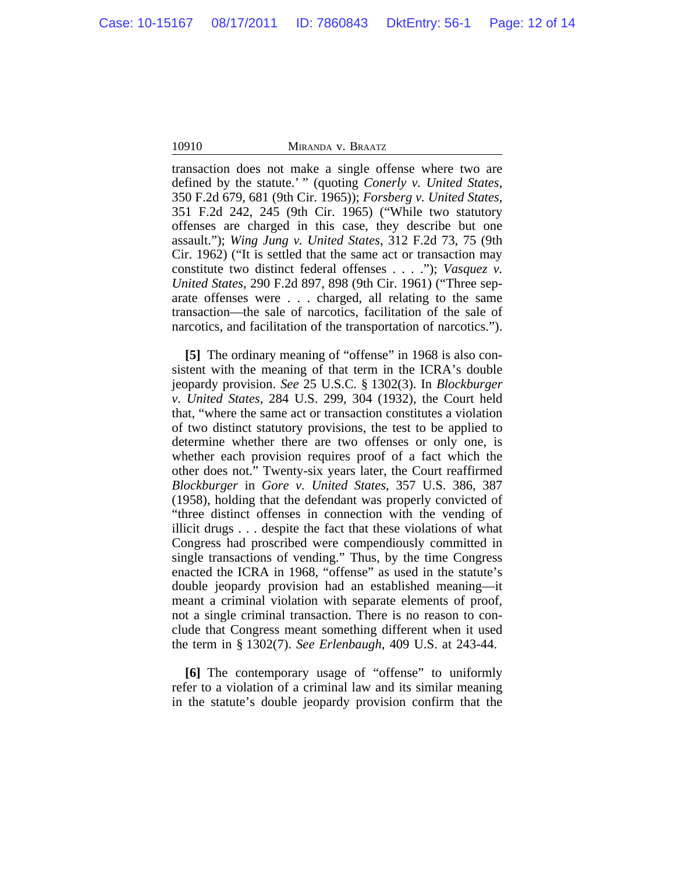transaction does not make a single offense where two are defined by the statute.' " (quoting *Conerly v. United States*, 350 F.2d 679, 681 (9th Cir. 1965)); *Forsberg v. United States*, 351 F.2d 242, 245 (9th Cir. 1965) ("While two statutory offenses are charged in this case, they describe but one assault."); *Wing Jung v. United States*, 312 F.2d 73, 75 (9th Cir. 1962) ("It is settled that the same act or transaction may constitute two distinct federal offenses . . . ."); *Vasquez v. United States*, 290 F.2d 897, 898 (9th Cir. 1961) ("Three separate offenses were . . . charged, all relating to the same transaction—the sale of narcotics, facilitation of the sale of narcotics, and facilitation of the transportation of narcotics.").

**[5]** The ordinary meaning of "offense" in 1968 is also consistent with the meaning of that term in the ICRA's double jeopardy provision. *See* 25 U.S.C. § 1302(3). In *Blockburger v. United States*, 284 U.S. 299, 304 (1932), the Court held that, "where the same act or transaction constitutes a violation of two distinct statutory provisions, the test to be applied to determine whether there are two offenses or only one, is whether each provision requires proof of a fact which the other does not." Twenty-six years later, the Court reaffirmed *Blockburger* in *Gore v. United States*, 357 U.S. 386, 387 (1958), holding that the defendant was properly convicted of "three distinct offenses in connection with the vending of illicit drugs . . . despite the fact that these violations of what Congress had proscribed were compendiously committed in single transactions of vending." Thus, by the time Congress enacted the ICRA in 1968, "offense" as used in the statute's double jeopardy provision had an established meaning—it meant a criminal violation with separate elements of proof, not a single criminal transaction. There is no reason to conclude that Congress meant something different when it used the term in § 1302(7). *See Erlenbaugh*, 409 U.S. at 243-44.

**[6]** The contemporary usage of "offense" to uniformly refer to a violation of a criminal law and its similar meaning in the statute's double jeopardy provision confirm that the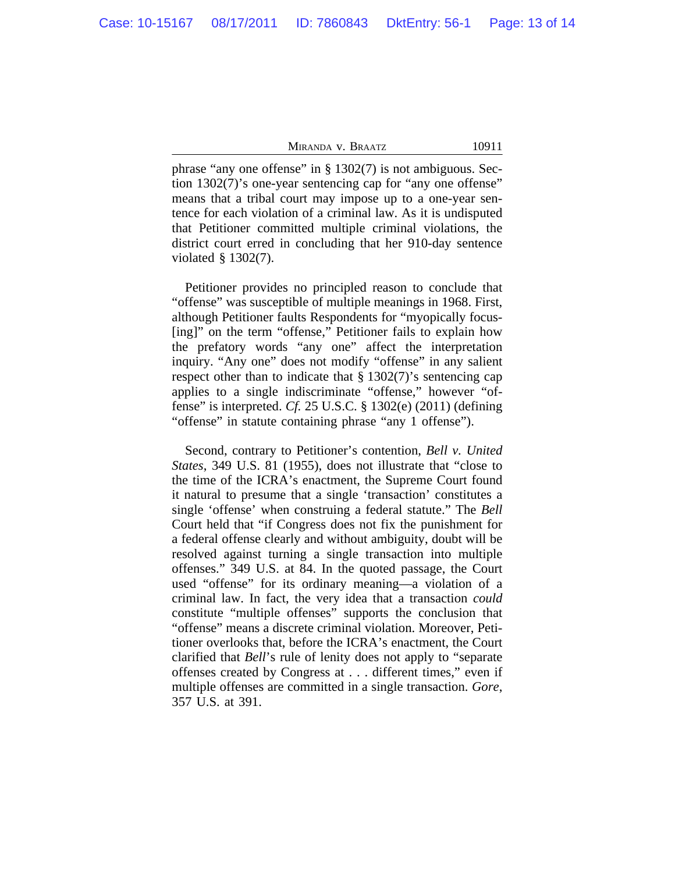phrase "any one offense" in § 1302(7) is not ambiguous. Section 1302(7)'s one-year sentencing cap for "any one offense" means that a tribal court may impose up to a one-year sentence for each violation of a criminal law. As it is undisputed that Petitioner committed multiple criminal violations, the district court erred in concluding that her 910-day sentence violated § 1302(7).

Petitioner provides no principled reason to conclude that "offense" was susceptible of multiple meanings in 1968. First, although Petitioner faults Respondents for "myopically focus- [ing]" on the term "offense," Petitioner fails to explain how the prefatory words "any one" affect the interpretation inquiry. "Any one" does not modify "offense" in any salient respect other than to indicate that  $\S 1302(7)$ 's sentencing cap applies to a single indiscriminate "offense," however "offense" is interpreted. *Cf.* 25 U.S.C. § 1302(e) (2011) (defining "offense" in statute containing phrase "any 1 offense").

Second, contrary to Petitioner's contention, *Bell v. United States*, 349 U.S. 81 (1955), does not illustrate that "close to the time of the ICRA's enactment, the Supreme Court found it natural to presume that a single 'transaction' constitutes a single 'offense' when construing a federal statute." The *Bell* Court held that "if Congress does not fix the punishment for a federal offense clearly and without ambiguity, doubt will be resolved against turning a single transaction into multiple offenses." 349 U.S. at 84. In the quoted passage, the Court used "offense" for its ordinary meaning—a violation of a criminal law. In fact, the very idea that a transaction *could* constitute "multiple offenses" supports the conclusion that "offense" means a discrete criminal violation. Moreover, Petitioner overlooks that, before the ICRA's enactment, the Court clarified that *Bell*'s rule of lenity does not apply to "separate offenses created by Congress at . . . different times," even if multiple offenses are committed in a single transaction. *Gore*, 357 U.S. at 391.